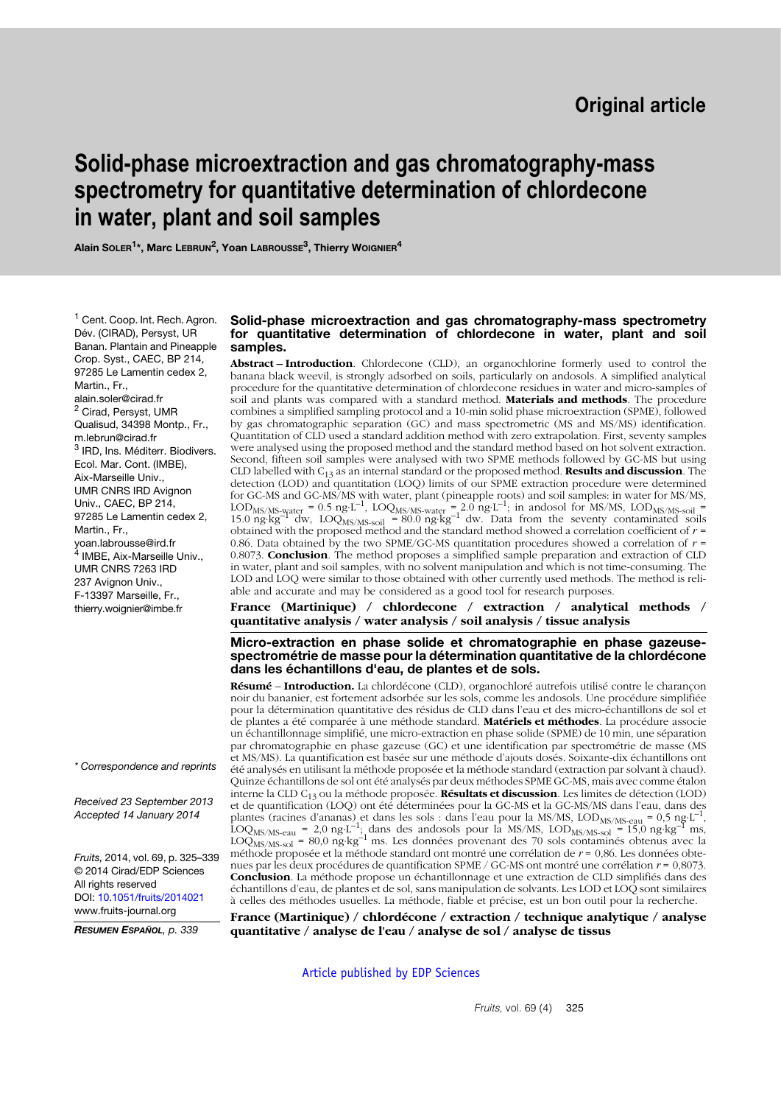# **Solid-phase microextraction and gas chromatography-mass spectrometry for quantitative determination of chlordecone in water, plant and soil samples**

**Alain SOLER1\*, Marc LEBRUN2, Yoan LABROUSSE3, Thierry WOIGNIER4**

<sup>1</sup> [Cent. Coop. Int. Rech. Agron.](mailto:alain.soler@cirad.fr) Dév. (CIRAD), Persyst, UR [Banan. Plantain and Pineapple](mailto:alain.soler@cirad.fr) Crop. Syst., CAEC, BP 214, 97285 Le Lamentin cedex 2, Martin., Fr., alain.soler@cirad.fr <sup>2</sup> [Cirad, Persyst, UMR](mailto:m.lebrun@cirad.fr) [Qualisud, 34398 Montp., Fr.,](mailto:m.lebrun@cirad.fr) m.lebrun@cirad.fr <sup>3</sup> IRD, Ins. Méditerr. Biodivers. Ecol. Mar. Cont. (IMBE), Aix-Marseille Univ., UMR CNRS IRD Avignon Univ., CAEC, BP 214, 97285 Le Lamentin cedex 2, Martin., Fr., yoan.labrousse@ird.fr <sup>4</sup> [IMBE, Aix-Marseille Univ.,](mailto:thierry.woignier@univ-montp2.fr) UMR CNRS 7263 IRD 237 Avignon Univ., F-13397 Marseille, Fr., [thierry.woignier@imbe.fr](mailto:thierry.woignier@univ-montp2.fr)

*\* Correspondence and reprints*

*Received 23 September 2013 Accepted 14 January 2014*

*Fruits,* 2014, vol. 69, p. 325–339 © 2014 Cirad/EDP Sciences All rights reserved DOI: [10.1051/fruits/2014021](http://dx.doi.org/10.1051/fruits/2014020) www.fruits-journal.org

*RESUMEN ESPAÑOL, p. 339*

#### **Solid-phase microextraction and gas chromatography-mass spectrometry for quantitative determination of chlordecone in water, plant and soil samples.**

**Abstract – Introduction**. Chlordecone (CLD), an organochlorine formerly used to control the banana black weevil, is strongly adsorbed on soils, particularly on andosols. A simplified analytical procedure for the quantitative determination of chlordecone residues in water and micro-samples of soil and plants was compared with a standard method. **Materials and methods**. The procedure combines a simplified sampling protocol and a 10-min solid phase microextraction (SPME), followed by gas chromatographic separation (GC) and mass spectrometric (MS and MS/MS) identification. Quantitation of CLD used a standard addition method with zero extrapolation. First, seventy samples were analysed using the proposed method and the standard method based on hot solvent extraction. Second, fifteen soil samples were analysed with two SPME methods followed by GC-MS but using CLD labelled with C13 as an internal standard or the proposed method. **Results and discussion**. The detection (LOD) and quantitation (LOQ) limits of our SPME extraction procedure were determined for GC-MS and GC-MS/MS with water, plant (pineapple roots) and soil samples: in water for MS/MS, LOD<sub>MS/MS-vater</sub> = 0.5 ng⋅L<sup>-1</sup>, LOQ<sub>MS/MS-water</sub> = 2.0 ng⋅L<sup>-1</sup>; in andosol for MS/MS, LOD<sub>MS/MS-soil</sub> = 15.0 ng⋅kg<sup>-1</sup> dw, LOQ<sub>MS/MS-soil = 80.0 ng⋅kg<sup>-1</sup> dw. Data from the seventy contaminated soils<br>obtained with the proposed method and the standard method showed a correlation coefficient of *r* =</sub> 0.86. Data obtained by the two SPME/GC-MS quantitation procedures showed a correlation of *r* = 0.8073. **Conclusion**. The method proposes a simplified sample preparation and extraction of CLD in water, plant and soil samples, with no solvent manipulation and which is not time-consuming. The LOD and LOQ were similar to those obtained with other currently used methods. The method is reliable and accurate and may be considered as a good tool for research purposes.

**France (Martinique) / chlordecone / extraction / analytical methods / quantitative analysis / water analysis / soil analysis / tissue analysis**

#### **Micro-extraction en phase solide et chromatographie en phase gazeusespectrométrie de masse pour la détermination quantitative de la chlordécone dans les échantillons d'eau, de plantes et de sols.**

**Résumé** – **Introduction.** La chlordécone (CLD), organochloré autrefois utilisé contre le charançon noir du bananier, est fortement adsorbée sur les sols, comme les andosols. Une procédure simplifiée pour la détermination quantitative des résidus de CLD dans l'eau et des micro-échantillons de sol et de plantes a été comparée à une méthode standard. **Matériels et méthodes**. La procédure associe un échantillonnage simplifié, une micro-extraction en phase solide (SPME) de 10 min, une séparation par chromatographie en phase gazeuse (GC) et une identification par spectrométrie de masse (MS et MS/MS). La quantification est basée sur une méthode d'ajouts dosés. Soixante-dix échantillons ont été analysés en utilisant la méthode proposée et la méthode standard (extraction par solvant à chaud). Quinze échantillons de sol ont été analysés par deux méthodes SPME GC-MS, mais avec comme étalon interne la CLD C13 ou la méthode proposée. **Résultats et discussion**. Les limites de détection (LOD) et de quantification (LOQ) ont été déterminées pour la GC-MS et la GC-MS/MS dans l'eau, dans des et de quantification (LOQ) ont été déterminées pour la GC-MS et la GC-MS/MS dans l'eau, dans des plantes (racines d'ananas) et dans les sols : dans l'eau pour la MS/MS, LOD<sub>MS/MS-eau</sub> = 0,5 ng·L<sup>-1</sup>, LOQ<sub>MS/MS-eau</sub> = 2,0 ng⋅L<sup>-1</sup>; dans des andosols pour la MS/MS, LOD<sub>MS/MS-sol</sub> = 15,0 ng⋅kg<sup>-1</sup> ms,  $\text{LOQ}_{\text{MS/MS-sol}} = 80.0 \text{ ng} \cdot \text{kg}^{-1}$  ms. Les données provenant des 70 sols contaminés obtenus avec la méthode proposée et la méthode standard ont montré une corrélation de *r* = 0,86. Les données obtenues par les deux procédures de quantification SPME / GC-MS ont montré une corrélation *r* = 0,8073. **Conclusion**. La méthode propose un échantillonnage et une extraction de CLD simplifiés dans des échantillons d'eau, de plantes et de sol, sans manipulation de solvants. Les LOD et LOQ sont similaires à celles des méthodes usuelles. La méthode, fiable et précise, est un bon outil pour la recherche.

**France (Martinique) / chlordécone / extraction / technique analytique / analyse quantitative / analyse de l'eau / analyse de sol / analyse de tissus**

[Article published by EDP Sciences](http://publications.edpsciences.org)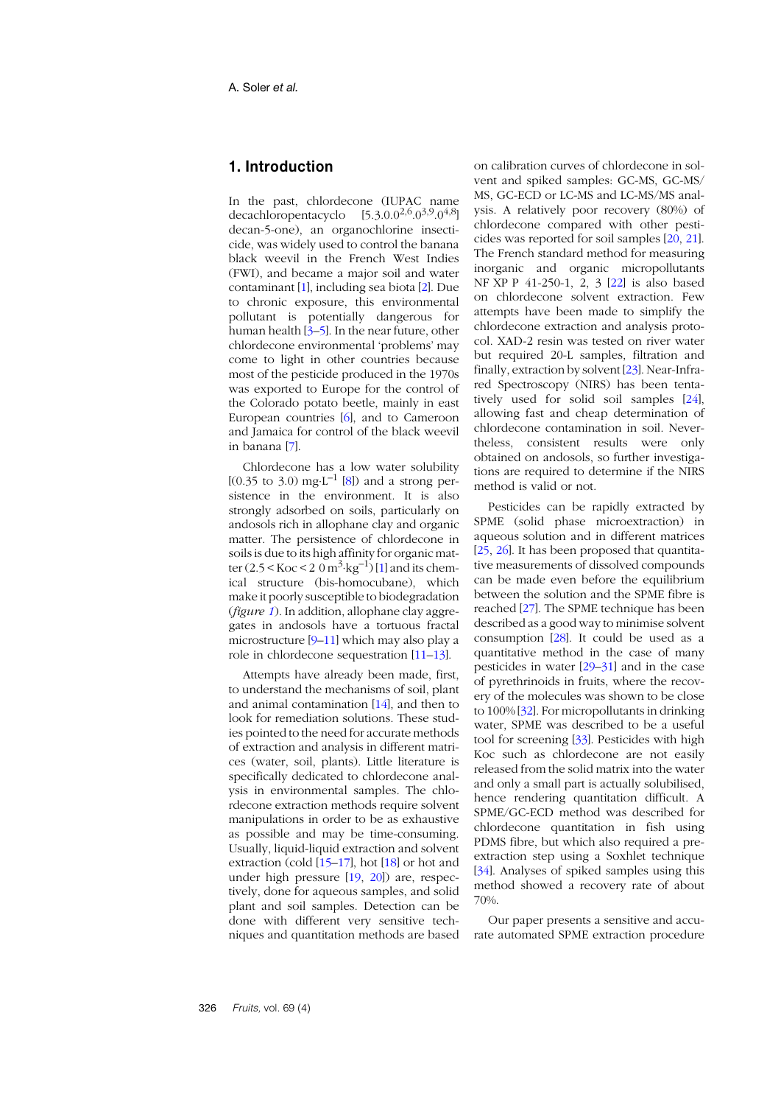# **1. Introduction**

In the past, chlordecone (IUPAC name decachloropentacyclo  $[5.3.0.0^{2,6}.0^{3,9}.0^{4,8}]$ decan-5-one), an organochlorine insecticide, was widely used to control the banana black weevil in the French West Indies (FWI), and became a major soil and water contaminant [\[1](#page-12-0)], including sea biota [\[2](#page-12-1)]. Due to chronic exposure, this environmental pollutant is potentially dangerous for human health  $[3-5]$  $[3-5]$  $[3-5]$  $[3-5]$ . In the near future, other chlordecone environmental 'problems' may come to light in other countries because most of the pesticide produced in the 1970s was exported to Europe for the control of the Colorado potato beetle, mainly in east European countries [[6](#page-12-4)], and to Cameroon and Jamaica for control of the black weevil in banana [\[7](#page-12-5)].

Chlordecone has a low water solubility  $[(0.35 \text{ to } 3.0) \text{ mg·L}^{-1} [8])$  $[(0.35 \text{ to } 3.0) \text{ mg·L}^{-1} [8])$  $[(0.35 \text{ to } 3.0) \text{ mg·L}^{-1} [8])$  and a strong persistence in the environment. It is also strongly adsorbed on soils, particularly on andosols rich in allophane clay and organic matter. The persistence of chlordecone in soils is due to its high affinity for organic matter  $(2.5 < Koc < 2.0 \text{ m}^3 \cdot \text{kg}^{-1})$  $(2.5 < Koc < 2.0 \text{ m}^3 \cdot \text{kg}^{-1})$  $(2.5 < Koc < 2.0 \text{ m}^3 \cdot \text{kg}^{-1})$  [1] and its chemical structure (bis-homocubane), which make it poorly susceptible to biodegradation (*figure [1](#page-2-0)*). In addition, allophane clay aggregates in andosols have a tortuous fractal microstructure [\[9](#page-12-7)–[11](#page-12-8)] which may also play a role in chlordecone sequestration [1[1](#page-12-8)–1[3](#page-12-9)].

Attempts have already been made, first, to understand the mechanisms of soil, plant and animal contamination [1[4](#page-13-0)], and then to look for remediation solutions. These studies pointed to the need for accurate methods of extraction and analysis in different matrices (water, soil, plants). Little literature is specifically dedicated to chlordecone analysis in environmental samples. The chlordecone extraction methods require solvent manipulations in order to be as exhaustive as possible and may be time-consuming. Usually, liquid-liquid extraction and solvent extraction (cold [[15](#page-13-1)–[17](#page-13-2)], hot [1[8](#page-13-3)] or hot and under high pressure [[19](#page-13-4), 2[0](#page-13-5)]) are, respectively, done for aqueous samples, and solid plant and soil samples. Detection can be done with different very sensitive techniques and quantitation methods are based on calibration curves of chlordecone in solvent and spiked samples: GC-MS, GC-MS/ MS, GC-ECD or LC-MS and LC-MS/MS analysis. A relatively poor recovery (80%) of chlordecone compared with other pesticides was reported for soil samples [[20](#page-13-5), 2[1](#page-13-6)]. The French standard method for measuring inorganic and organic micropollutants NF XP P 41-250-1, 2, 3 [[22](#page-13-7)] is also based on chlordecone solvent extraction. Few attempts have been made to simplify the chlordecone extraction and analysis protocol. XAD-2 resin was tested on river water but required 20-L samples, filtration and finally, extraction by solvent [2[3](#page-13-8)]. Near-Infrared Spectroscopy (NIRS) has been tentatively used for solid soil samples [2[4](#page-13-9)], allowing fast and cheap determination of chlordecone contamination in soil. Nevertheless, consistent results were only obtained on andosols, so further investigations are required to determine if the NIRS method is valid or not.

Pesticides can be rapidly extracted by SPME (solid phase microextraction) in aqueous solution and in different matrices [[25](#page-13-10), 2[6](#page-13-11)]. It has been proposed that quantitative measurements of dissolved compounds can be made even before the equilibrium between the solution and the SPME fibre is reached [[27](#page-13-12)]. The SPME technique has been described as a good way to minimise solvent consumption [2[8](#page-13-13)]. It could be used as a quantitative method in the case of many pesticides in water [[29](#page-13-14)–[31](#page-13-15)] and in the case of pyrethrinoids in fruits, where the recovery of the molecules was shown to be close to 100% [3[2](#page-13-16)]. For micropollutants in drinking water, SPME was described to be a useful tool for screening [[33](#page-13-17)]. Pesticides with high Koc such as chlordecone are not easily released from the solid matrix into the water and only a small part is actually solubilised, hence rendering quantitation difficult. A SPME/GC-ECD method was described for chlordecone quantitation in fish using PDMS fibre, but which also required a preextraction step using a Soxhlet technique [[34](#page-13-18)]. Analyses of spiked samples using this method showed a recovery rate of about 70%.

Our paper presents a sensitive and accurate automated SPME extraction procedure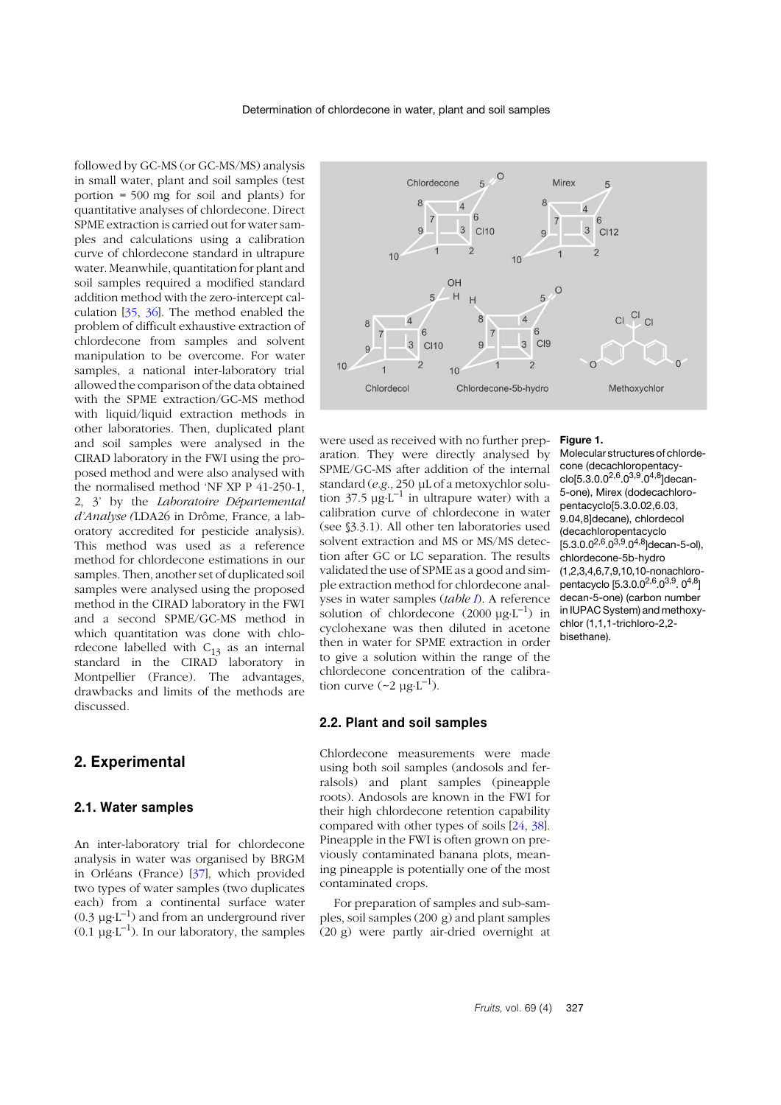followed by GC-MS (or GC-MS/MS) analysis in small water, plant and soil samples (test portion = 500 mg for soil and plants) for quantitative analyses of chlordecone. Direct SPME extraction is carried out for water samples and calculations using a calibration curve of chlordecone standard in ultrapure water. Meanwhile, quantitation for plant and soil samples required a modified standard addition method with the zero-intercept calculation [[35](#page-14-0), 3[6](#page-14-1)]. The method enabled the problem of difficult exhaustive extraction of chlordecone from samples and solvent manipulation to be overcome. For water samples, a national inter-laboratory trial allowed the comparison of the data obtained with the SPME extraction/GC-MS method with liquid/liquid extraction methods in other laboratories. Then, duplicated plant and soil samples were analysed in the CIRAD laboratory in the FWI using the proposed method and were also analysed with the normalised method 'NF XP P 41-250-1, 2, 3' by the *Laboratoire Départemental d'Analyse (*LDA26 in Drôme*,* France*,* a laboratory accredited for pesticide analysis). This method was used as a reference method for chlordecone estimations in our samples. Then, another set of duplicated soil samples were analysed using the proposed method in the CIRAD laboratory in the FWI and a second SPME/GC-MS method in which quantitation was done with chlordecone labelled with  $C_{13}$  as an internal standard in the CIRAD laboratory in Montpellier (France). The advantages, drawbacks and limits of the methods are discussed.

# **2. Experimental**

#### **2.1. Water samples**

An inter-laboratory trial for chlordecone analysis in water was organised by BRGM in Orléans (France) [3[7](#page-14-2)], which provided two types of water samples (two duplicates each) from a continental surface water  $(0.3 \text{ u} \text{g} \cdot \text{L}^{-1})$  and from an underground river  $(0.1 \text{ ug} \cdot \text{L}^{-1})$ . In our laboratory, the samples



were used as received with no further preparation. They were directly analysed by SPME/GC-MS after addition of the internal standard (*e.g*., 250 µL of a metoxychlor solution 37.5  $\mu$ g⋅L<sup>-1</sup> in ultrapure water) with a calibration curve of chlordecone in water (see §3.3.1). All other ten laboratories used solvent extraction and MS or MS/MS detection after GC or LC separation. The results validated the use of SPME as a good and simple extraction method for chlordecone analyses in water samples (*table [I](#page-3-0)*). A reference solution of chlordecone  $(2000 \text{ kg} \cdot \text{L}^{-1})$  in cyclohexane was then diluted in acetone then in water for SPME extraction in order to give a solution within the range of the chlordecone concentration of the calibration curve  $(\sim 2 \mu g \cdot L^{-1})$ .

#### **2.2. Plant and soil samples**

Chlordecone measurements were made using both soil samples (andosols and ferralsols) and plant samples (pineapple roots). Andosols are known in the FWI for their high chlordecone retention capability compared with other types of soils [[24](#page-13-9), [38](#page-14-3)]. Pineapple in the FWI is often grown on previously contaminated banana plots, meaning pineapple is potentially one of the most contaminated crops.

For preparation of samples and sub-samples, soil samples (200 g) and plant samples (20 g) were partly air-dried overnight at

#### <span id="page-2-0"></span>**Figure 1.**

Molecular structures of chlordecone (decachloropentacyclo[5.3.0.0<sup>2,6</sup>.0<sup>3,9</sup>.0<sup>4,8</sup>]decan-5-one), Mirex (dodecachloropentacyclo[5.3.0.02,6.03, 9.04,8]decane), chlordecol (decachloropentacyclo  $[5.3.0.0^{2,6}.0^{3,9}.0^{4,8}]$ decan-5-ol), chlordecone-5b-hydro (1,2,3,4,6,7,9,10,10-nonachloropentacyclo [5.3.0.0<sup>2,6</sup>.0<sup>3,9</sup>. 0<sup>4,8</sup>] decan-5-one) (carbon number in IUPAC System) and methoxychlor (1,1,1-trichloro-2,2 bisethane).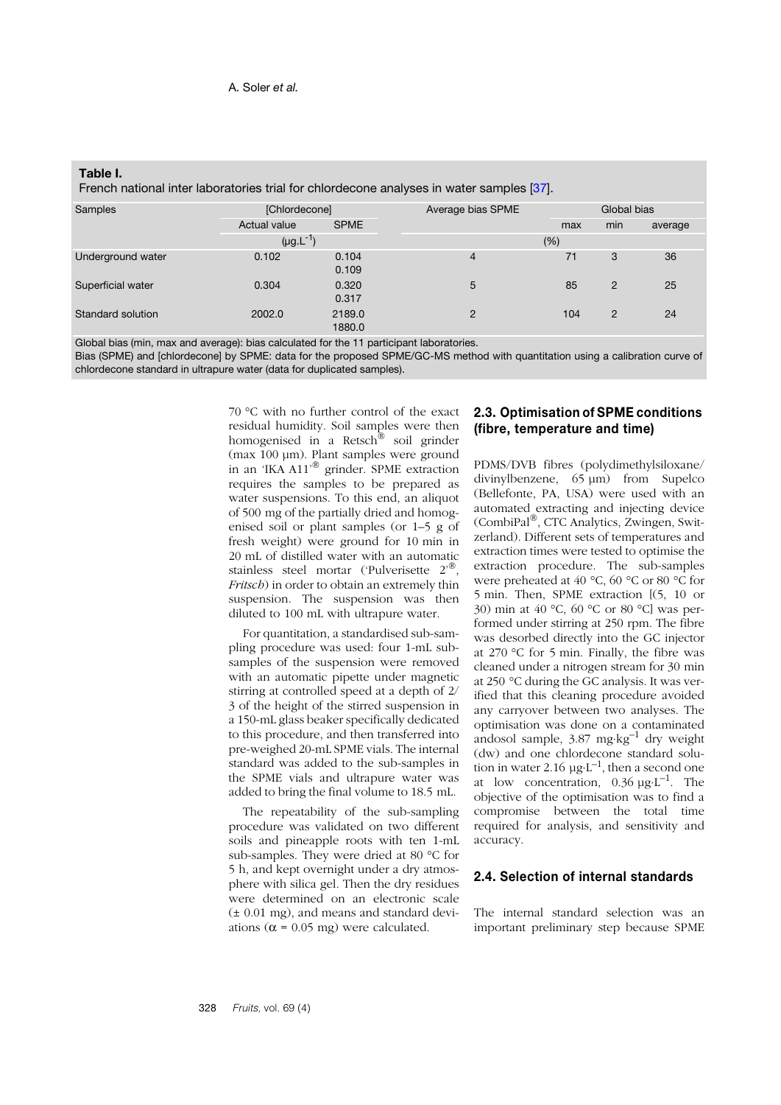<span id="page-3-0"></span>

| Table I. |  |
|----------|--|
|          |  |

| French national inter laboratories trial for chlordecone analyses in water samples [37]. |  |
|------------------------------------------------------------------------------------------|--|
|                                                                                          |  |

| Samples           | [Chlordecone]    |                  | Average bias SPME | Global bias |                |         |
|-------------------|------------------|------------------|-------------------|-------------|----------------|---------|
|                   | Actual value     | <b>SPME</b>      |                   | max         | min            | average |
|                   | $(\mu g.L^{-1})$ |                  |                   | (%)         |                |         |
| Underground water | 0.102            | 0.104<br>0.109   | 4                 | 71          | 3              | 36      |
| Superficial water | 0.304            | 0.320<br>0.317   | 5                 | 85          | $\overline{2}$ | 25      |
| Standard solution | 2002.0           | 2189.0<br>1880.0 | $\overline{2}$    | 104         | $\overline{2}$ | 24      |

Global bias (min, max and average): bias calculated for the 11 participant laboratories.

Bias (SPME) and [chlordecone] by SPME: data for the proposed SPME/GC-MS method with quantitation using a calibration curve of chlordecone standard in ultrapure water (data for duplicated samples).

> 70 °C with no further control of the exact residual humidity. Soil samples were then homogenised in a Retsch® soil grinder (max 100 µm). Plant samples were ground in an 'IKA A11'® grinder. SPME extraction requires the samples to be prepared as water suspensions. To this end, an aliquot of 500 mg of the partially dried and homogenised soil or plant samples (or 1–5 g of fresh weight) were ground for 10 min in 20 mL of distilled water with an automatic stainless steel mortar ('Pulverisette 2'®, *Fritsch*) in order to obtain an extremely thin suspension. The suspension was then diluted to 100 mL with ultrapure water.

> For quantitation, a standardised sub-sampling procedure was used: four 1-mL subsamples of the suspension were removed with an automatic pipette under magnetic stirring at controlled speed at a depth of 2/ 3 of the height of the stirred suspension in a 150-mL glass beaker specifically dedicated to this procedure, and then transferred into pre-weighed 20-mL SPME vials. The internal standard was added to the sub-samples in the SPME vials and ultrapure water was added to bring the final volume to 18.5 mL.

> The repeatability of the sub-sampling procedure was validated on two different soils and pineapple roots with ten 1-mL sub-samples. They were dried at 80 °C for 5 h, and kept overnight under a dry atmosphere with silica gel. Then the dry residues were determined on an electronic scale (± 0.01 mg), and means and standard deviations ( $\alpha$  = 0.05 mg) were calculated.

## **2.3. Optimisation of SPME conditions (fibre, temperature and time)**

PDMS/DVB fibres (polydimethylsiloxane/ divinylbenzene, 65 µm) from Supelco (Bellefonte, PA, USA) were used with an automated extracting and injecting device (CombiPal®, CTC Analytics, Zwingen, Switzerland). Different sets of temperatures and extraction times were tested to optimise the extraction procedure. The sub-samples were preheated at 40 °C, 60 °C or 80 °C for 5 min. Then, SPME extraction [(5, 10 or 30) min at 40 °C, 60 °C or 80 °C] was performed under stirring at 250 rpm. The fibre was desorbed directly into the GC injector at 270 °C for 5 min. Finally, the fibre was cleaned under a nitrogen stream for 30 min at 250 °C during the GC analysis. It was verified that this cleaning procedure avoided any carryover between two analyses. The optimisation was done on a contaminated andosol sample,  $3.87 \text{ mg·kg}^{-1}$  dry weight (dw) and one chlordecone standard solution in water 2.16  $\mu$ g⋅L<sup>-1</sup>, then a second one at low concentration,  $0.36 \mu g \cdot L^{-1}$ . The objective of the optimisation was to find a compromise between the total time required for analysis, and sensitivity and accuracy.

## **2.4. Selection of internal standards**

The internal standard selection was an important preliminary step because SPME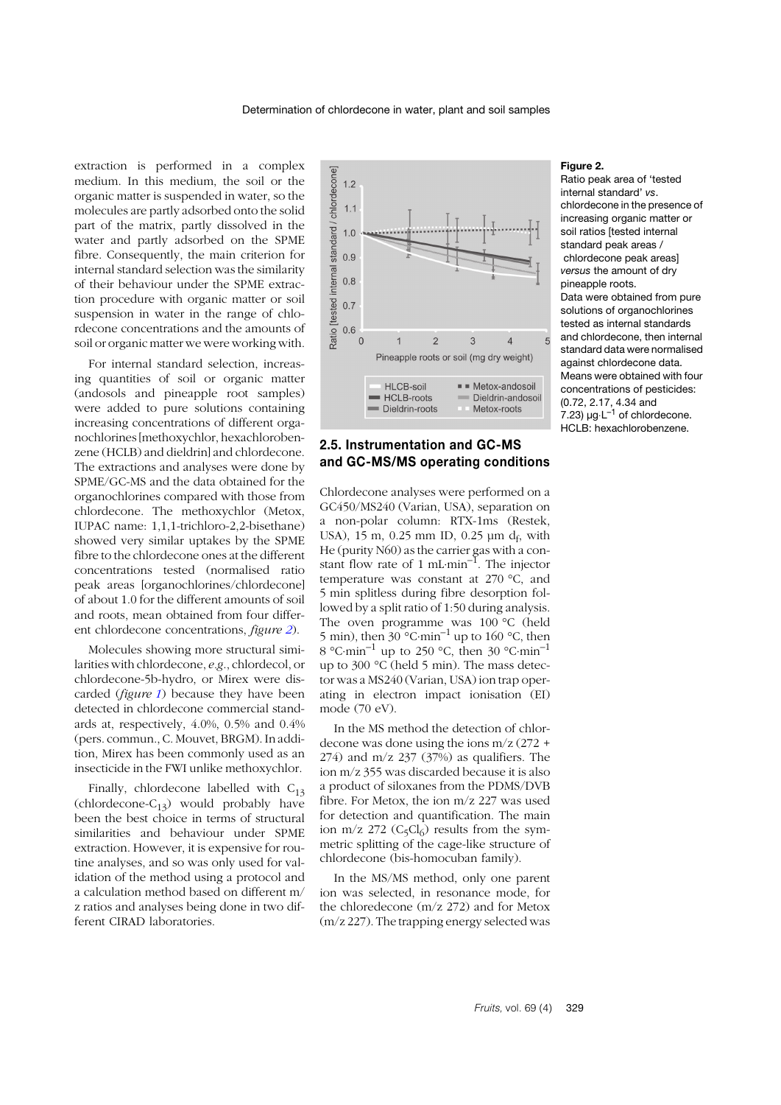extraction is performed in a complex medium. In this medium, the soil or the organic matter is suspended in water, so the molecules are partly adsorbed onto the solid part of the matrix, partly dissolved in the water and partly adsorbed on the SPME fibre. Consequently, the main criterion for internal standard selection was the similarity of their behaviour under the SPME extraction procedure with organic matter or soil suspension in water in the range of chlordecone concentrations and the amounts of soil or organic matter we were working with.

For internal standard selection, increasing quantities of soil or organic matter (andosols and pineapple root samples) were added to pure solutions containing increasing concentrations of different organochlorines [methoxychlor, hexachlorobenzene (HCLB) and dieldrin] and chlordecone. The extractions and analyses were done by SPME/GC-MS and the data obtained for the organochlorines compared with those from chlordecone. The methoxychlor (Metox, IUPAC name: 1,1,1-trichloro-2,2-bisethane) showed very similar uptakes by the SPME fibre to the chlordecone ones at the different concentrations tested (normalised ratio peak areas [organochlorines/chlordecone] of about 1.0 for the different amounts of soil and roots, mean obtained from four different chlordecone concentrations, *figure [2](#page-4-0)*).

Molecules showing more structural similarities with chlordecone, *e.g*., chlordecol, or chlordecone-5b-hydro, or Mirex were discarded (*figure [1](#page-2-0)*) because they have been detected in chlordecone commercial standards at, respectively, 4.0%, 0.5% and 0.4% (pers. commun., C. Mouvet, BRGM). In addition, Mirex has been commonly used as an insecticide in the FWI unlike methoxychlor.

Finally, chlordecone labelled with  $C_{13}$ (chlordecone- $C_{13}$ ) would probably have been the best choice in terms of structural similarities and behaviour under SPME extraction. However, it is expensive for routine analyses, and so was only used for validation of the method using a protocol and a calculation method based on different m/ z ratios and analyses being done in two different CIRAD laboratories.



## **2.5. Instrumentation and GC-MS and GC-MS/MS operating conditions**

Chlordecone analyses were performed on a GC450/MS240 (Varian, USA), separation on a non-polar column: RTX-1ms (Restek, USA), 15 m, 0.25 mm ID, 0.25  $\mu$ m d<sub>f</sub>, with He (purity N60) as the carrier gas with a constant flow rate of 1 mL⋅min<sup>-1</sup>. The injector temperature was constant at 270 °C, and 5 min splitless during fibre desorption followed by a split ratio of 1:50 during analysis. The oven programme was 100 °C (held 5 min), then  $30^{\circ}$ C⋅min<sup>-1</sup> up to 160 °C, then 8 °C⋅min–1 up to 250 °C, then 30 °C⋅min–1 up to 300 °C (held 5 min). The mass detector was a MS240 (Varian, USA) ion trap operating in electron impact ionisation (EI) mode (70 eV).

In the MS method the detection of chlordecone was done using the ions m/z (272 +  $274$ ) and m/z  $237$  ( $37\%$ ) as qualifiers. The ion m/z 355 was discarded because it is also a product of siloxanes from the PDMS/DVB fibre. For Metox, the ion m/z 227 was used for detection and quantification. The main ion m/z 272 ( $C_5Cl_6$ ) results from the symmetric splitting of the cage-like structure of chlordecone (bis-homocuban family).

In the MS/MS method, only one parent ion was selected, in resonance mode, for the chloredecone (m/z 272) and for Metox (m/z 227). The trapping energy selected was

## <span id="page-4-0"></span>**Figure 2.**

Ratio peak area of 'tested internal standard' *vs*. chlordecone in the presence of increasing organic matter or soil ratios [tested internal standard peak areas / chlordecone peak areas] *versus* the amount of dry pineapple roots. Data were obtained from pure solutions of organochlorines tested as internal standards and chlordecone, then internal standard data were normalised against chlordecone data. Means were obtained with four concentrations of pesticides: (0.72, 2.17, 4.34 and  $7.23$ ) µg⋅L<sup>-1</sup> of chlordecone. HCLB: hexachlorobenzene.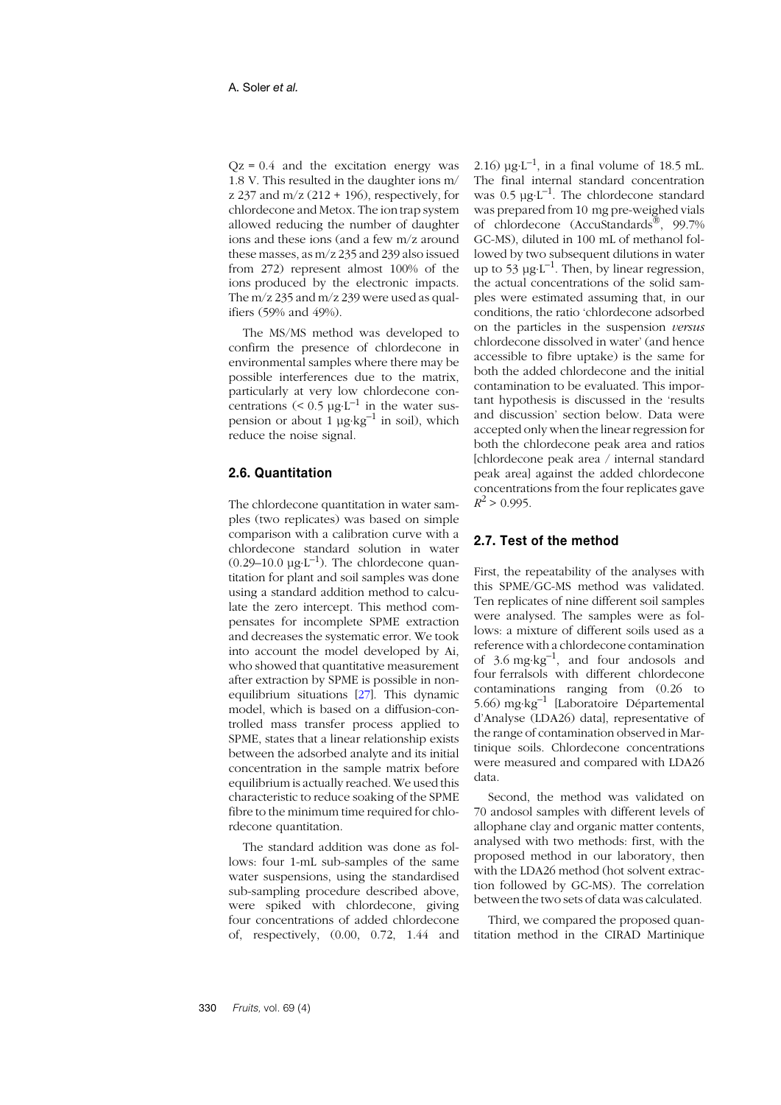$Qz = 0.4$  and the excitation energy was 1.8 V. This resulted in the daughter ions m/ z 237 and  $m/z$  (212 + 196), respectively, for chlordecone and Metox. The ion trap system allowed reducing the number of daughter ions and these ions (and a few m/z around these masses, as m/z 235 and 239 also issued from 272) represent almost 100% of the ions produced by the electronic impacts. The  $m/z$  235 and  $m/z$  239 were used as qualifiers (59% and 49%).

The MS/MS method was developed to confirm the presence of chlordecone in environmental samples where there may be possible interferences due to the matrix, particularly at very low chlordecone concentrations  $(< 0.5 \mu g \cdot L^{-1}$  in the water suspension or about  $1 \mu g \cdot kg^{-1}$  in soil), which reduce the noise signal.

## **2.6. Quantitation**

The chlordecone quantitation in water samples (two replicates) was based on simple comparison with a calibration curve with a chlordecone standard solution in water  $(0.29-10.0 \text{ µg·L}^{-1})$ . The chlordecone quantitation for plant and soil samples was done using a standard addition method to calculate the zero intercept. This method compensates for incomplete SPME extraction and decreases the systematic error. We took into account the model developed by Ai, who showed that quantitative measurement after extraction by SPME is possible in nonequilibrium situations [2[7](#page-13-12)]. This dynamic model, which is based on a diffusion-controlled mass transfer process applied to SPME, states that a linear relationship exists between the adsorbed analyte and its initial concentration in the sample matrix before equilibrium is actually reached. We used this characteristic to reduce soaking of the SPME fibre to the minimum time required for chlordecone quantitation.

The standard addition was done as follows: four 1-mL sub-samples of the same water suspensions, using the standardised sub-sampling procedure described above, were spiked with chlordecone, giving four concentrations of added chlordecone of, respectively, (0.00, 0.72, 1.44 and

2.16)  $\mu$ g⋅L<sup>-1</sup>, in a final volume of 18.5 mL. The final internal standard concentration was  $0.5 \mu g \cdot L^{-1}$ . The chlordecone standard was prepared from 10 mg pre-weighed vials of chlordecone (AccuStandards®, 99.7% GC-MS), diluted in 100 mL of methanol followed by two subsequent dilutions in water up to 53  $\mu$ g⋅L<sup>-1</sup>. Then, by linear regression, the actual concentrations of the solid samples were estimated assuming that, in our conditions, the ratio 'chlordecone adsorbed on the particles in the suspension *versus* chlordecone dissolved in water' (and hence accessible to fibre uptake) is the same for both the added chlordecone and the initial contamination to be evaluated. This important hypothesis is discussed in the 'results and discussion' section below. Data were accepted only when the linear regression for both the chlordecone peak area and ratios [chlordecone peak area / internal standard peak area] against the added chlordecone concentrations from the four replicates gave  $R^2$  > 0.995.

## **2.7. Test of the method**

First, the repeatability of the analyses with this SPME/GC-MS method was validated. Ten replicates of nine different soil samples were analysed. The samples were as follows: a mixture of different soils used as a reference with a chlordecone contamination of  $3.6 \text{ mg} \cdot \text{kg}^{-1}$ , and four andosols and four ferralsols with different chlordecone contaminations ranging from (0.26 to 5.66) mg⋅kg–1 [Laboratoire Départemental d'Analyse (LDA26) data], representative of the range of contamination observed in Martinique soils. Chlordecone concentrations were measured and compared with LDA26 data.

Second, the method was validated on 70 andosol samples with different levels of allophane clay and organic matter contents, analysed with two methods: first, with the proposed method in our laboratory, then with the LDA26 method (hot solvent extraction followed by GC-MS). The correlation between the two sets of data was calculated.

Third, we compared the proposed quantitation method in the CIRAD Martinique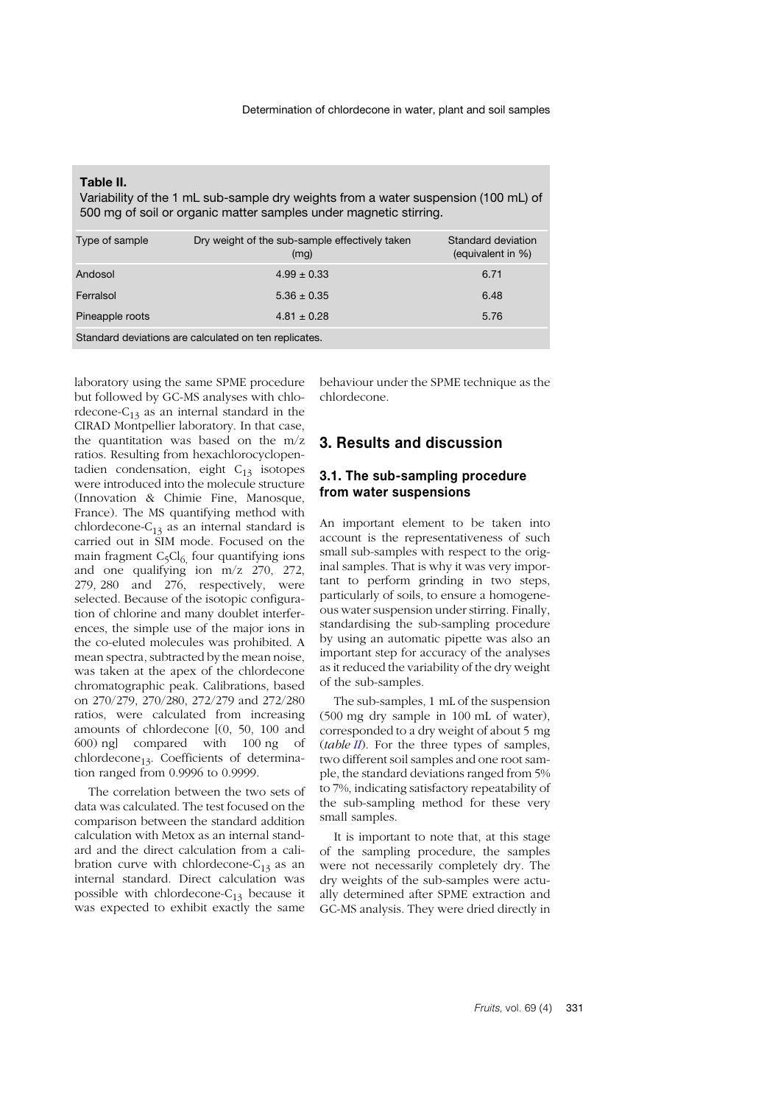<span id="page-6-0"></span>

| Table II. |  |  |
|-----------|--|--|
|           |  |  |

Variability of the 1 mL sub-sample dry weights from a water suspension (100 mL) of 500 mg of soil or organic matter samples under magnetic stirring.

| Type of sample                                        | Dry weight of the sub-sample effectively taken<br>(mg) | Standard deviation<br>(equivalent in %) |  |
|-------------------------------------------------------|--------------------------------------------------------|-----------------------------------------|--|
| Andosol                                               | $4.99 \pm 0.33$                                        | 6.71                                    |  |
| Ferralsol                                             | $5.36 \pm 0.35$                                        | 6.48                                    |  |
| Pineapple roots                                       | $4.81 \pm 0.28$                                        | 5.76                                    |  |
| Standard deviations are calculated on ten replicates. |                                                        |                                         |  |

laboratory using the same SPME procedure but followed by GC-MS analyses with chlordecone- $C_{13}$  as an internal standard in the CIRAD Montpellier laboratory. In that case, the quantitation was based on the m/z ratios. Resulting from hexachlorocyclopentadien condensation, eight  $C_{13}$  isotopes were introduced into the molecule structure (Innovation & Chimie Fine, Manosque, France). The MS quantifying method with chlordecone- $C_{13}$  as an internal standard is carried out in SIM mode. Focused on the main fragment  $C_5Cl_6$  four quantifying ions and one qualifying ion m/z 270, 272, 279, 280 and 276, respectively, were selected. Because of the isotopic configuration of chlorine and many doublet interferences, the simple use of the major ions in the co-eluted molecules was prohibited. A mean spectra, subtracted by the mean noise, was taken at the apex of the chlordecone chromatographic peak. Calibrations, based on 270/279, 270/280, 272/279 and 272/280 ratios, were calculated from increasing amounts of chlordecone [(0, 50, 100 and 600) ng] compared with 100 ng of chlordecone<sub>13</sub>. Coefficients of determination ranged from 0.9996 to 0.9999.

The correlation between the two sets of data was calculated. The test focused on the comparison between the standard addition calculation with Metox as an internal standard and the direct calculation from a calibration curve with chlordecone- $C_{13}$  as an internal standard. Direct calculation was possible with chlordecone- $C_{13}$  because it was expected to exhibit exactly the same

behaviour under the SPME technique as the chlordecone.

## **3. Results and discussion**

## **3.1. The sub-sampling procedure from water suspensions**

An important element to be taken into account is the representativeness of such small sub-samples with respect to the original samples. That is why it was very important to perform grinding in two steps, particularly of soils, to ensure a homogeneous water suspension under stirring. Finally, standardising the sub-sampling procedure by using an automatic pipette was also an important step for accuracy of the analyses as it reduced the variability of the dry weight of the sub-samples.

The sub-samples, 1 mL of the suspension (500 mg dry sample in 100 mL of water), corresponded to a dry weight of about 5 mg (*table [II](#page-6-0)*). For the three types of samples, two different soil samples and one root sample, the standard deviations ranged from 5% to 7%, indicating satisfactory repeatability of the sub-sampling method for these very small samples.

It is important to note that, at this stage of the sampling procedure, the samples were not necessarily completely dry. The dry weights of the sub-samples were actually determined after SPME extraction and GC-MS analysis. They were dried directly in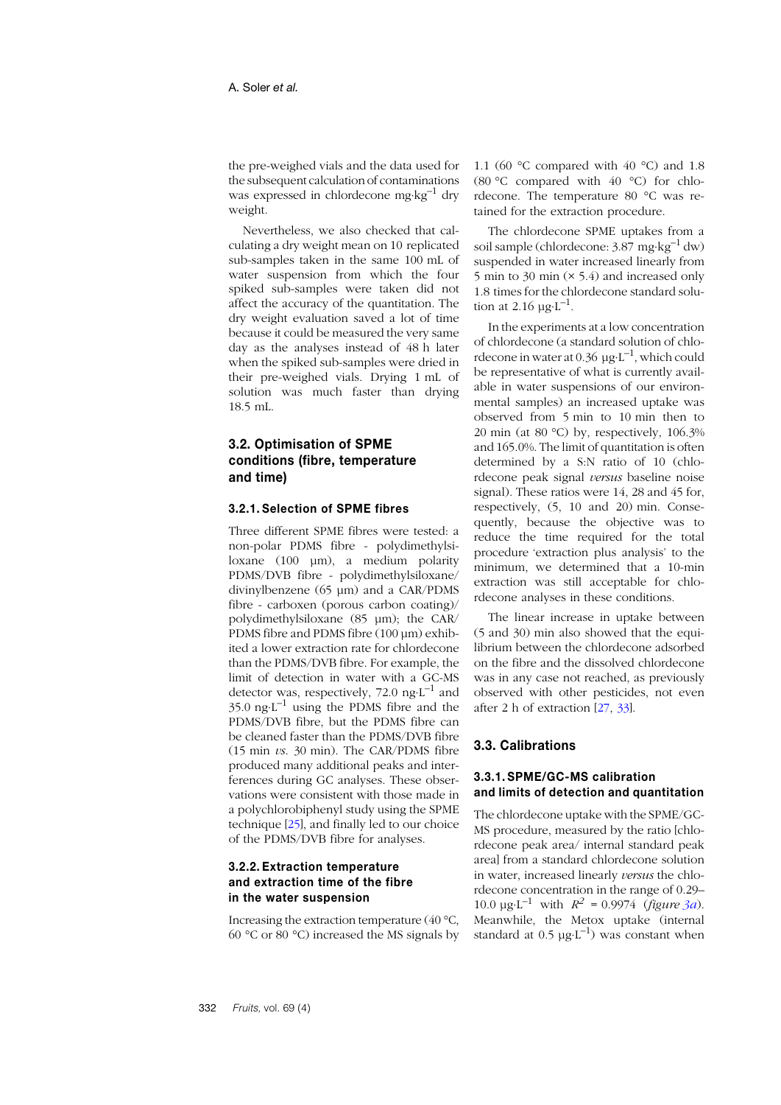the pre-weighed vials and the data used for the subsequent calculation of contaminations was expressed in chlordecone mg⋅kg–1 dry weight.

Nevertheless, we also checked that calculating a dry weight mean on 10 replicated sub-samples taken in the same 100 mL of water suspension from which the four spiked sub-samples were taken did not affect the accuracy of the quantitation. The dry weight evaluation saved a lot of time because it could be measured the very same day as the analyses instead of 48 h later when the spiked sub-samples were dried in their pre-weighed vials. Drying 1 mL of solution was much faster than drying 18.5 mL.

## **3.2. Optimisation of SPME conditions (fibre, temperature and time)**

#### **3.2.1. Selection of SPME fibres**

Three different SPME fibres were tested: a non-polar PDMS fibre - polydimethylsiloxane (100 µm), a medium polarity PDMS/DVB fibre - polydimethylsiloxane/ divinylbenzene (65 µm) and a CAR/PDMS fibre - carboxen (porous carbon coating)/ polydimethylsiloxane (85 µm); the CAR/ PDMS fibre and PDMS fibre (100 µm) exhibited a lower extraction rate for chlordecone than the PDMS/DVB fibre. For example, the limit of detection in water with a GC-MS detector was, respectively, 72.0  $ng·L^{-1}$  and  $35.0 \text{ ng·L}^{-1}$  using the PDMS fibre and the PDMS/DVB fibre, but the PDMS fibre can be cleaned faster than the PDMS/DVB fibre (15 min *vs*. 30 min). The CAR/PDMS fibre produced many additional peaks and interferences during GC analyses. These observations were consistent with those made in a polychlorobiphenyl study using the SPME technique [[25](#page-13-10)], and finally led to our choice of the PDMS/DVB fibre for analyses.

## **3.2.2. Extraction temperature and extraction time of the fibre in the water suspension**

Increasing the extraction temperature (40 °C, 60 °C or 80 °C) increased the MS signals by

1.1 (60 °C compared with 40 °C) and 1.8 (80 °C compared with 40 °C) for chlordecone. The temperature 80 °C was retained for the extraction procedure.

The chlordecone SPME uptakes from a soil sample (chlordecone: 3.87 mg⋅kg<sup>-1</sup> dw) suspended in water increased linearly from 5 min to 30 min (× 5.4) and increased only 1.8 times for the chlordecone standard solution at 2.16  $\mu$ g⋅L<sup>-1</sup>.

In the experiments at a low concentration of chlordecone (a standard solution of chlordecone in water at 0.36  $\mu$ g⋅L<sup>-1</sup>, which could be representative of what is currently available in water suspensions of our environmental samples) an increased uptake was observed from 5 min to 10 min then to 20 min (at 80 °C) by, respectively, 106.3% and 165.0%. The limit of quantitation is often determined by a S:N ratio of 10 (chlordecone peak signal *versus* baseline noise signal). These ratios were 14, 28 and 45 for, respectively, (5, 10 and 20) min. Consequently, because the objective was to reduce the time required for the total procedure 'extraction plus analysis' to the minimum, we determined that a 10-min extraction was still acceptable for chlordecone analyses in these conditions.

The linear increase in uptake between (5 and 30) min also showed that the equilibrium between the chlordecone adsorbed on the fibre and the dissolved chlordecone was in any case not reached, as previously observed with other pesticides, not even after 2 h of extraction [[27](#page-13-12), [33](#page-13-17)].

## **3.3. Calibrations**

## **3.3.1. SPME/GC-MS calibration and limits of detection and quantitation**

The chlordecone uptake with the SPME/GC-MS procedure, measured by the ratio [chlordecone peak area/ internal standard peak area] from a standard chlordecone solution in water, increased linearly *versus* the chlordecone concentration in the range of 0.29– 10.0 μg⋅L<sup>-1</sup> with  $R^2 = 0.9974$  (*figure 3[a](#page-8-0)*). Meanwhile, the Metox uptake (internal standard at  $0.5 \mu g \cdot L^{-1}$ ) was constant when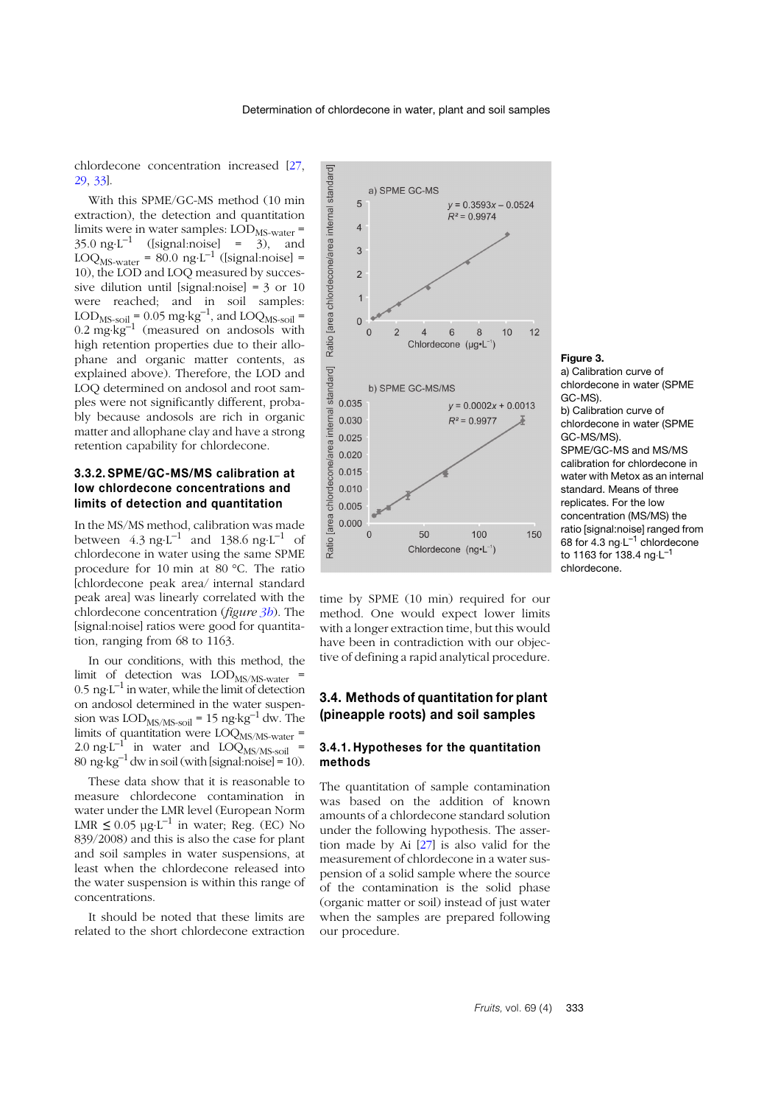chlordecone concentration increased [[27](#page-13-12), [29](#page-13-14), [33](#page-13-17)].

With this SPME/GC-MS method (10 min extraction), the detection and quantitation limits were in water samples: LOD<sub>MS-water</sub> =  $35.0 \text{ ng L}^{-1}$  ([signal:noise] = 3), and LOQ<sub>MS-water</sub> = 80.0 ng⋅L<sup>-1</sup> ([signal:noise] = 10), the LOD and LOQ measured by successive dilution until [signal:noise] =  $3$  or 10 were reached; and in soil samples: LOD<sub>MS-soil</sub> =  $0.05 \text{ mg} \cdot \text{kg}^{-1}$ , and LOQ<sub>MS-soil</sub> =  $0.2 \text{ mg·kg}^{-1}$  (measured on andosols with high retention properties due to their allophane and organic matter contents, as explained above). Therefore, the LOD and LOQ determined on andosol and root samples were not significantly different, probably because andosols are rich in organic matter and allophane clay and have a strong retention capability for chlordecone.

#### **3.3.2. SPME/GC-MS/MS calibration at low chlordecone concentrations and limits of detection and quantitation**

In the MS/MS method, calibration was made between  $4.3 \text{ ng·L}^{-1}$  and  $138.6 \text{ ng·L}^{-1}$  of chlordecone in water using the same SPME procedure for 10 min at 80 °C. The ratio [chlordecone peak area/ internal standard peak area] was linearly correlated with the chlordecone concentration (*figure [3b](#page-8-1)*). The [signal:noise] ratios were good for quantitation, ranging from 68 to 1163.

In our conditions, with this method, the limit of detection was  $\text{LOD}_{\text{MS/MS-water}}$  =  $0.5$  ng⋅L<sup>-1</sup> in water, while the limit of detection on andosol determined in the water suspension was  $\text{LOD}_{\text{MS/MS-}sol}$  = 15 ng⋅kg<sup>-1</sup> dw. The limits of quantitation were  $\text{LOQ}_{\text{MS/MS-water}}$  =  $2.0 \text{ ng L}^{-1}$  in water and  $LOQ_{MS/MS-soil}$  $80 \text{ ng} \cdot \text{kg}^{-1}$  dw in soil (with [signal:noise] = 10).

These data show that it is reasonable to measure chlordecone contamination in water under the LMR level (European Norm LMR  $≤ 0.05 \mu g \cdot L^{-1}$  in water; Reg. (EC) No 839/2008) and this is also the case for plant and soil samples in water suspensions, at least when the chlordecone released into the water suspension is within this range of concentrations.

It should be noted that these limits are related to the short chlordecone extraction



time by SPME (10 min) required for our method. One would expect lower limits with a longer extraction time, but this would have been in contradiction with our objective of defining a rapid analytical procedure.

## **3.4. Methods of quantitation for plant (pineapple roots) and soil samples**

#### **3.4.1. Hypotheses for the quantitation methods**

The quantitation of sample contamination was based on the addition of known amounts of a chlordecone standard solution under the following hypothesis. The assertion made by Ai [2[7](#page-13-12)] is also valid for the measurement of chlordecone in a water suspension of a solid sample where the source of the contamination is the solid phase (organic matter or soil) instead of just water when the samples are prepared following our procedure.

#### <span id="page-8-0"></span>**Figure 3.**

<span id="page-8-1"></span>a) Calibration curve of chlordecone in water (SPME GC-MS). b) Calibration curve of chlordecone in water (SPME GC-MS/MS). SPME/GC-MS and MS/MS calibration for chlordecone in water with Metox as an internal standard. Means of three replicates. For the low concentration (MS/MS) the ratio [signal:noise] ranged from 68 for 4.3 ng⋅L–1 chlordecone to 1163 for 138.4 ng⋅L–1 chlordecone.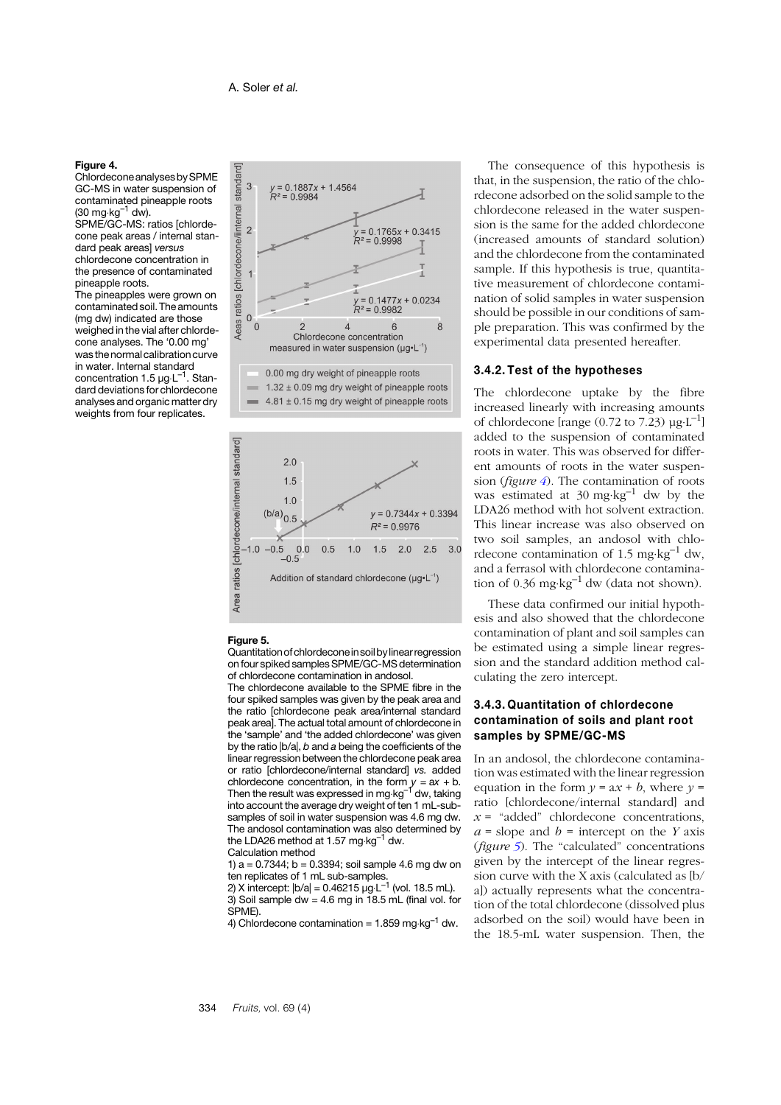#### <span id="page-9-0"></span>**Figure 4.**

Chlordecone analysesbySPME GC-MS in water suspension of contaminated pineapple roots  $(30 \text{ mg} \cdot \text{kg}^{-1} \text{ dw})$ .

SPME/GC-MS: ratios [chlordecone peak areas / internal standard peak areas] *versus* chlordecone concentration in the presence of contaminated pineapple roots.

The pineapples were grown on contaminated soil. The amounts (mg dw) indicated are those weighed in the vial after chlordecone analyses. The '0.00 mg' was the normal calibration curve in water. Internal standard concentration 1.5 μg⋅L<sup>-1</sup>. Standard deviations for chlordecone analyses and organic matter dry weights from four replicates.





#### <span id="page-9-1"></span>**Figure 5.**

Quantitationofchlordeconein soilbylinear regression onfour spiked samples SPME/GC-MS determination of chlordecone contamination in andosol.

The chlordecone available to the SPME fibre in the four spiked samples was given by the peak area and the ratio [chlordecone peak area/internal standard peak area]. The actual total amount of chlordecone in the 'sample' and 'the added chlordecone' was given by the ratio |b/a|, *b* and *a* being the coefficients of the linear regression between the chlordecone peak area or ratio [chlordecone/internal standard] *vs.* added chlordecone concentration, in the form *y* = a*x* + b. Then the result was expressed in mg⋅kg–1 dw, taking into account the average dry weight of ten 1 mL-subsamples of soil in water suspension was 4.6 mg dw. The andosol contamination was also determined by the LDA26 method at 1.57 mg⋅kg–1 dw.

Calculation method 1)  $a = 0.7344$ ;  $b = 0.3394$ ; soil sample 4.6 mg dw on

ten replicates of 1 mL sub-samples.<br>2) X intercept: |b/a| = 0.46215 µg⋅L<sup>−1</sup> (vol. 18.5 mL).

3) Soil sample dw =  $4.6$  mg in 18.5 mL (final vol. for SPME).

4) Chlordecone contamination =  $1.859$  mg⋅kg<sup>-1</sup> dw.

The consequence of this hypothesis is that, in the suspension, the ratio of the chlordecone adsorbed on the solid sample to the chlordecone released in the water suspension is the same for the added chlordecone (increased amounts of standard solution) and the chlordecone from the contaminated sample. If this hypothesis is true, quantitative measurement of chlordecone contamination of solid samples in water suspension should be possible in our conditions of sample preparation. This was confirmed by the experimental data presented hereafter.

#### **3.4.2. Test of the hypotheses**

The chlordecone uptake by the fibre increased linearly with increasing amounts of chlordecone [range (0.72 to 7.23)  $\mu$ g⋅L<sup>-1</sup>] added to the suspension of contaminated roots in water. This was observed for different amounts of roots in the water suspension (*figure [4](#page-9-0)*). The contamination of roots was estimated at  $30 \text{ mg} \cdot \text{kg}^{-1}$  dw by the LDA26 method with hot solvent extraction. This linear increase was also observed on two soil samples, an andosol with chlordecone contamination of 1.5 mg⋅kg<sup>-1</sup> dw, and a ferrasol with chlordecone contamination of 0.36 mg⋅kg<sup>-1</sup> dw (data not shown).

These data confirmed our initial hypothesis and also showed that the chlordecone contamination of plant and soil samples can be estimated using a simple linear regression and the standard addition method calculating the zero intercept.

#### **3.4.3. Quantitation of chlordecone contamination of soils and plant root samples by SPME/GC-MS**

In an andosol, the chlordecone contamination was estimated with the linear regression equation in the form  $y = ax + b$ , where  $y =$ ratio [chlordecone/internal standard] and  $x =$  "added" chlordecone concentrations,  $a =$ slope and  $b =$  intercept on the *Y* axis (*figure [5](#page-9-1)*). The "calculated" concentrations given by the intercept of the linear regression curve with the X axis (calculated as [b/ a]) actually represents what the concentration of the total chlordecone (dissolved plus adsorbed on the soil) would have been in the 18.5-mL water suspension. Then, the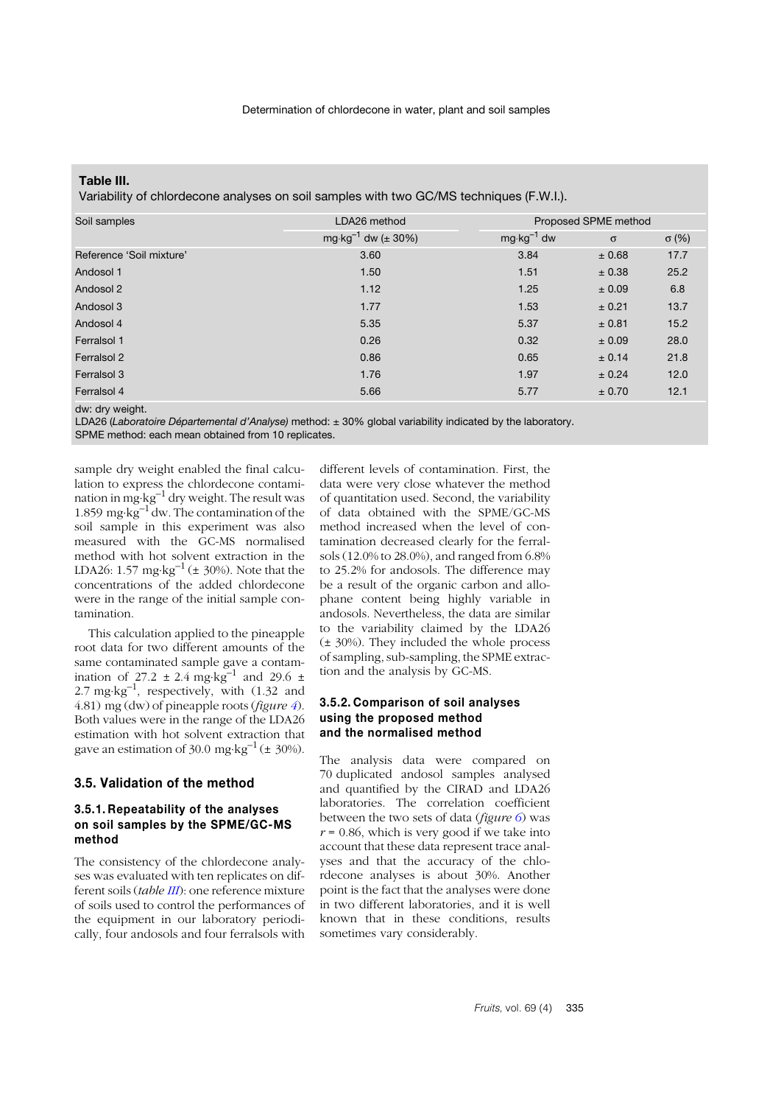#### <span id="page-10-0"></span>**Table III.**

Variability of chlordecone analyses on soil samples with two GC/MS techniques (F.W.I.).

| Soil samples                                                                    | LDA26 method                           | Proposed SPME method  |            |              |  |
|---------------------------------------------------------------------------------|----------------------------------------|-----------------------|------------|--------------|--|
|                                                                                 | mg $\cdot$ kg <sup>-1</sup> dw (± 30%) | $mg \cdot kg^{-1}$ dw | $\sigma$   | $\sigma$ (%) |  |
| Reference 'Soil mixture'                                                        | 3.60                                   | 3.84                  | $\pm 0.68$ | 17.7         |  |
| Andosol 1                                                                       | 1.50                                   | 1.51                  | ± 0.38     | 25.2         |  |
| Andosol 2                                                                       | 1.12                                   | 1.25                  | ± 0.09     | 6.8          |  |
| Andosol 3                                                                       | 1.77                                   | 1.53                  | ± 0.21     | 13.7         |  |
| Andosol 4                                                                       | 5.35                                   | 5.37                  | ± 0.81     | 15.2         |  |
| Ferralsol 1                                                                     | 0.26                                   | 0.32                  | ± 0.09     | 28.0         |  |
| Ferralsol 2                                                                     | 0.86                                   | 0.65                  | ± 0.14     | 21.8         |  |
| Ferralsol 3                                                                     | 1.76                                   | 1.97                  | $\pm$ 0.24 | 12.0         |  |
| Ferralsol 4                                                                     | 5.66                                   | 5.77                  | $\pm 0.70$ | 12.1         |  |
| the contract of the contract of the contract of the contract of the contract of |                                        |                       |            |              |  |

dw: dry weight.

LDA26 (*Laboratoire Départemental d'Analyse)* method: ± 30% global variability indicated by the laboratory. SPME method: each mean obtained from 10 replicates.

sample dry weight enabled the final calculation to express the chlordecone contamination in mg⋅kg–1 dry weight. The result was 1.859 mg⋅kg<sup>-1</sup> dw. The contamination of the soil sample in this experiment was also measured with the GC-MS normalised method with hot solvent extraction in the LDA26: 1.57 mg⋅kg<sup>-1</sup> ( $\pm$  30%). Note that the concentrations of the added chlordecone were in the range of the initial sample contamination.

This calculation applied to the pineapple root data for two different amounts of the same contaminated sample gave a contamination of 27.2 ± 2.4 mg·kg<sup>-1</sup> and 29.6 ± 2.7 mg⋅kg<sup>-1</sup>, respectively, with  $(1.32 \text{ and }$ 4.81) mg (dw) of pineapple roots (*figure [4](#page-9-0)*). Both values were in the range of the LDA26 estimation with hot solvent extraction that gave an estimation of 30.0 mg⋅kg<sup>-1</sup> ( $\pm$  30%).

#### **3.5. Validation of the method**

## **3.5.1. Repeatability of the analyses on soil samples by the SPME/GC-MS method**

The consistency of the chlordecone analyses was evaluated with ten replicates on different soils (*table I[II](#page-10-0)*): one reference mixture of soils used to control the performances of the equipment in our laboratory periodically, four andosols and four ferralsols with

different levels of contamination. First, the data were very close whatever the method of quantitation used. Second, the variability of data obtained with the SPME/GC-MS method increased when the level of contamination decreased clearly for the ferralsols (12.0% to 28.0%), and ranged from 6.8% to 25.2% for andosols. The difference may be a result of the organic carbon and allophane content being highly variable in andosols. Nevertheless, the data are similar to the variability claimed by the LDA26 (± 30%). They included the whole process of sampling, sub-sampling, the SPME extraction and the analysis by GC-MS.

#### **3.5.2. Comparison of soil analyses using the proposed method and the normalised method**

The analysis data were compared on 70 duplicated andosol samples analysed and quantified by the CIRAD and LDA26 laboratories. The correlation coefficient between the two sets of data (*figure [6](#page-11-0)*) was  $r = 0.86$ , which is very good if we take into account that these data represent trace analyses and that the accuracy of the chlordecone analyses is about 30%. Another point is the fact that the analyses were done in two different laboratories, and it is well known that in these conditions, results sometimes vary considerably.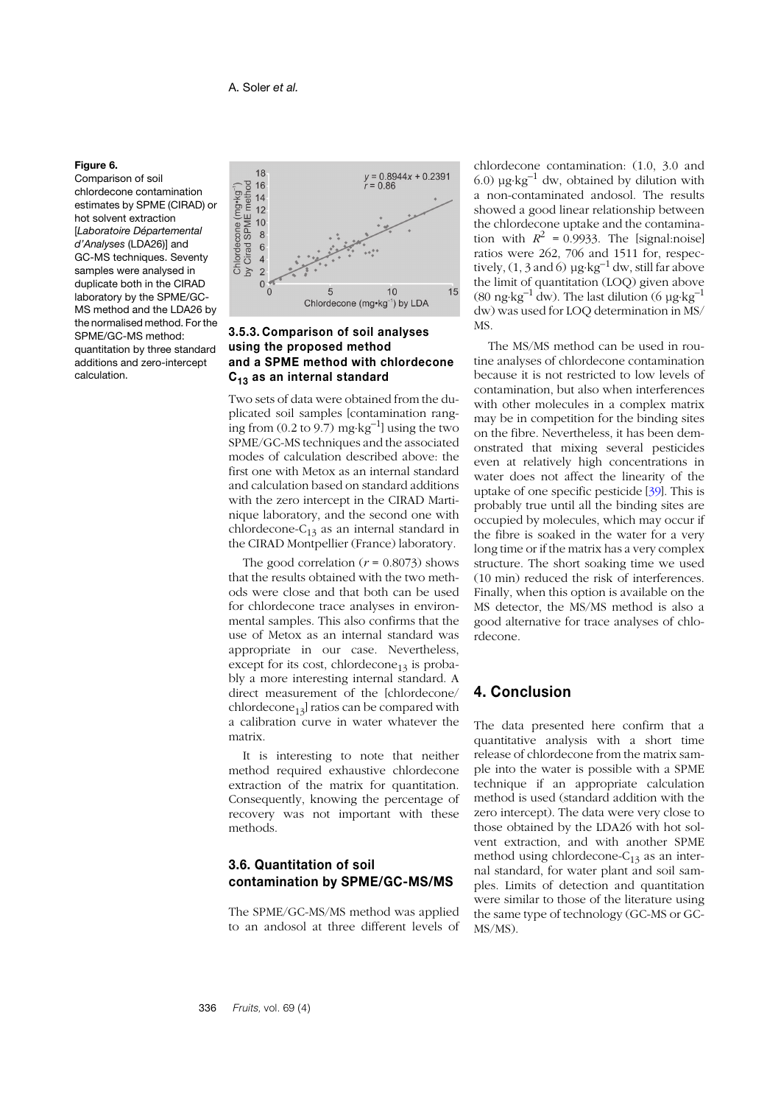## <span id="page-11-0"></span>**Figure 6.**

Comparison of soil chlordecone contamination estimates by SPME (CIRAD) or hot solvent extraction [*Laboratoire Départemental d'Analyses* (LDA26)] and GC-MS techniques. Seventy samples were analysed in duplicate both in the CIRAD laboratory by the SPME/GC-MS method and the LDA26 by the normalised method. For the SPME/GC-MS method: quantitation by three standard additions and zero-intercept calculation.



## **3.5.3. Comparison of soil analyses using the proposed method and a SPME method with chlordecone C13 as an internal standard**

Two sets of data were obtained from the duplicated soil samples [contamination ranging from  $(0.2 \text{ to } 9.7)$  mg⋅kg<sup>-1</sup>] using the two SPME/GC-MS techniques and the associated modes of calculation described above: the first one with Metox as an internal standard and calculation based on standard additions with the zero intercept in the CIRAD Martinique laboratory, and the second one with chlordecone- $C_{13}$  as an internal standard in the CIRAD Montpellier (France) laboratory.

The good correlation  $(r = 0.8073)$  shows that the results obtained with the two methods were close and that both can be used for chlordecone trace analyses in environmental samples. This also confirms that the use of Metox as an internal standard was appropriate in our case. Nevertheless, except for its cost, chlordecone<sub>13</sub> is probably a more interesting internal standard. A direct measurement of the [chlordecone/ chlordecone<sub>13</sub>] ratios can be compared with a calibration curve in water whatever the matrix.

It is interesting to note that neither method required exhaustive chlordecone extraction of the matrix for quantitation. Consequently, knowing the percentage of recovery was not important with these methods.

## **3.6. Quantitation of soil contamination by SPME/GC-MS/MS**

The SPME/GC-MS/MS method was applied to an andosol at three different levels of chlordecone contamination: (1.0, 3.0 and 6.0)  $\mu$ g⋅kg<sup>-1</sup> dw, obtained by dilution with a non-contaminated andosol. The results showed a good linear relationship between the chlordecone uptake and the contamination with  $R^2 = 0.9933$ . The [signal:noise] ratios were 262, 706 and 1511 for, respectively,  $(1, 3 \text{ and } 6)$  µg⋅kg<sup>-1</sup> dw, still far above the limit of quantitation (LOQ) given above (80 ng⋅kg<sup>-1</sup> dw). The last dilution (6 µg⋅kg<sup>-1</sup>) dw) was used for LOQ determination in MS/ MS.

The MS/MS method can be used in routine analyses of chlordecone contamination because it is not restricted to low levels of contamination, but also when interferences with other molecules in a complex matrix may be in competition for the binding sites on the fibre. Nevertheless, it has been demonstrated that mixing several pesticides even at relatively high concentrations in water does not affect the linearity of the uptake of one specific pesticide [[39](#page-14-4)]. This is probably true until all the binding sites are occupied by molecules, which may occur if the fibre is soaked in the water for a very long time or if the matrix has a very complex structure. The short soaking time we used (10 min) reduced the risk of interferences. Finally, when this option is available on the MS detector, the MS/MS method is also a good alternative for trace analyses of chlordecone.

# **4. Conclusion**

The data presented here confirm that a quantitative analysis with a short time release of chlordecone from the matrix sample into the water is possible with a SPME technique if an appropriate calculation method is used (standard addition with the zero intercept). The data were very close to those obtained by the LDA26 with hot solvent extraction, and with another SPME method using chlordecone- $C_{13}$  as an internal standard, for water plant and soil samples. Limits of detection and quantitation were similar to those of the literature using the same type of technology (GC-MS or GC-MS/MS).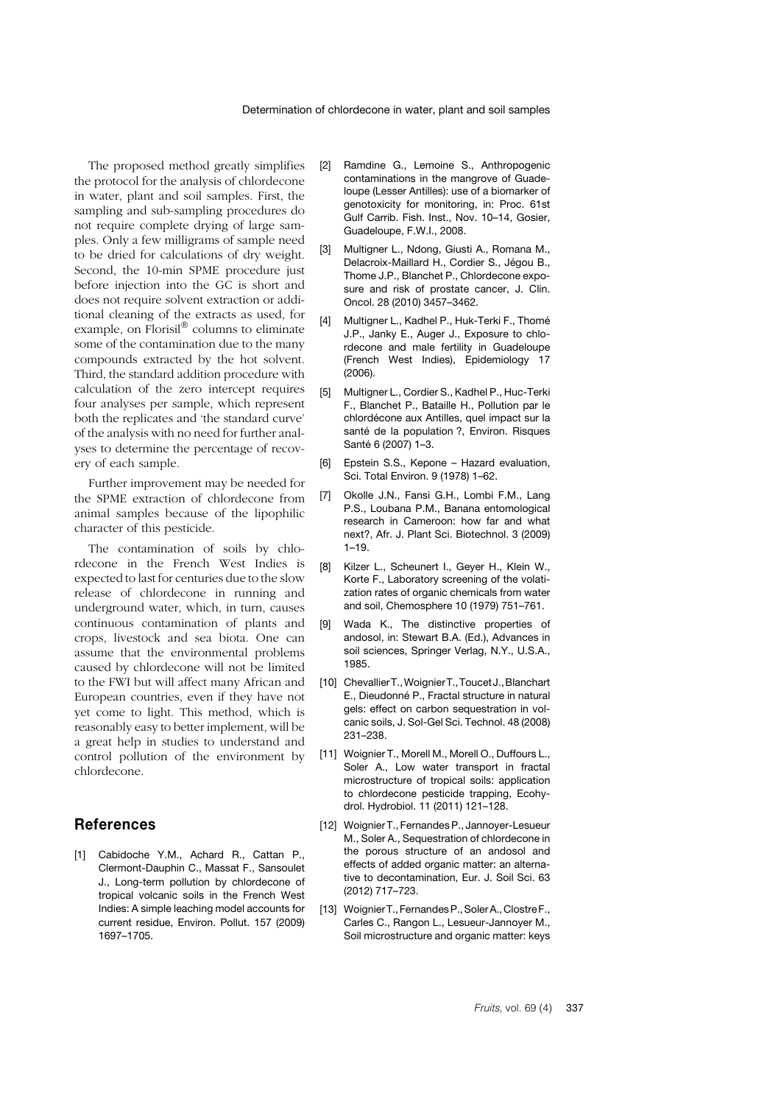The proposed method greatly simplifies the protocol for the analysis of chlordecone in water, plant and soil samples. First, the sampling and sub-sampling procedures do not require complete drying of large samples. Only a few milligrams of sample need to be dried for calculations of dry weight. Second, the 10-min SPME procedure just before injection into the GC is short and does not require solvent extraction or additional cleaning of the extracts as used, for example, on Florisil® columns to eliminate some of the contamination due to the many compounds extracted by the hot solvent. Third, the standard addition procedure with calculation of the zero intercept requires four analyses per sample, which represent both the replicates and 'the standard curve' of the analysis with no need for further analyses to determine the percentage of recovery of each sample.

Further improvement may be needed for the SPME extraction of chlordecone from animal samples because of the lipophilic character of this pesticide.

The contamination of soils by chlordecone in the French West Indies is expected to last for centuries due to the slow release of chlordecone in running and underground water, which, in turn, causes continuous contamination of plants and crops, livestock and sea biota. One can assume that the environmental problems caused by chlordecone will not be limited to the FWI but will affect many African and European countries, even if they have not yet come to light. This method, which is reasonably easy to better implement, will be a great help in studies to understand and control pollution of the environment by chlordecone.

## **References**

<span id="page-12-0"></span>[1] Cabidoche Y.M., Achard R., Cattan P., Clermont-Dauphin C., Massat F., Sansoulet J., Long-term pollution by chlordecone of tropical volcanic soils in the French West Indies: A simple leaching model accounts for current residue, Environ. Pollut. 157 (2009) 1697–1705.

- <span id="page-12-1"></span>[2] Ramdine G., Lemoine S., Anthropogenic contaminations in the mangrove of Guadeloupe (Lesser Antilles): use of a biomarker of genotoxicity for monitoring, in: Proc. 61st Gulf Carrib. Fish. Inst., Nov. 10–14, Gosier, Guadeloupe, F.W.I., 2008.
- <span id="page-12-2"></span>[3] Multigner L., Ndong, Giusti A., Romana M., Delacroix-Maillard H., Cordier S., Jégou B., Thome J.P., Blanchet P., Chlordecone exposure and risk of prostate cancer, J. Clin. Oncol. 28 (2010) 3457–3462.
- [4] Multigner L., Kadhel P., Huk-Terki F., Thomé J.P., Janky E., Auger J., Exposure to chlordecone and male fertility in Guadeloupe (French West Indies), Epidemiology 17 (2006).
- <span id="page-12-3"></span>[5] Multigner L., Cordier S., Kadhel P., Huc-Terki F., Blanchet P., Bataille H., Pollution par le chlordécone aux Antilles, quel impact sur la santé de la population ?, Environ. Risques Santé 6 (2007) 1–3.
- <span id="page-12-4"></span>[6] Epstein S.S., Kepone – Hazard evaluation, Sci. Total Environ. 9 (1978) 1–62.
- <span id="page-12-5"></span>[7] Okolle J.N., Fansi G.H., Lombi F.M., Lang P.S., Loubana P.M., Banana entomological research in Cameroon: how far and what next?, Afr. J. Plant Sci. Biotechnol. 3 (2009) 1–19.
- <span id="page-12-6"></span>[8] Kilzer L., Scheunert I., Geyer H., Klein W., Korte F., Laboratory screening of the volatization rates of organic chemicals from water and soil, Chemosphere 10 (1979) 751–761.
- <span id="page-12-7"></span>[9] Wada K., The distinctive properties of andosol, in: Stewart B.A. (Ed.), Advances in soil sciences, Springer Verlag, N.Y., U.S.A., 1985.
- [10] Chevallier T., Woignier T., Toucet J., Blanchart E., Dieudonné P., Fractal structure in natural gels: effect on carbon sequestration in volcanic soils, J. Sol-Gel Sci. Technol. 48 (2008) 231–238.
- <span id="page-12-8"></span>[11] Woignier T., Morell M., Morell O., Duffours L., Soler A., Low water transport in fractal microstructure of tropical soils: application to chlordecone pesticide trapping, Ecohydrol. Hydrobiol. 11 (2011) 121–128.
- [12] Woignier T., Fernandes P., Jannoyer-Lesueur M., Soler A., Sequestration of chlordecone in the porous structure of an andosol and effects of added organic matter: an alternative to decontamination, Eur. J. Soil Sci. 63 (2012) 717–723.
- <span id="page-12-9"></span>[13] Woignier T., FernandesP.,SolerA.,Clostre F., Carles C., Rangon L., Lesueur-Jannoyer M., Soil microstructure and organic matter: keys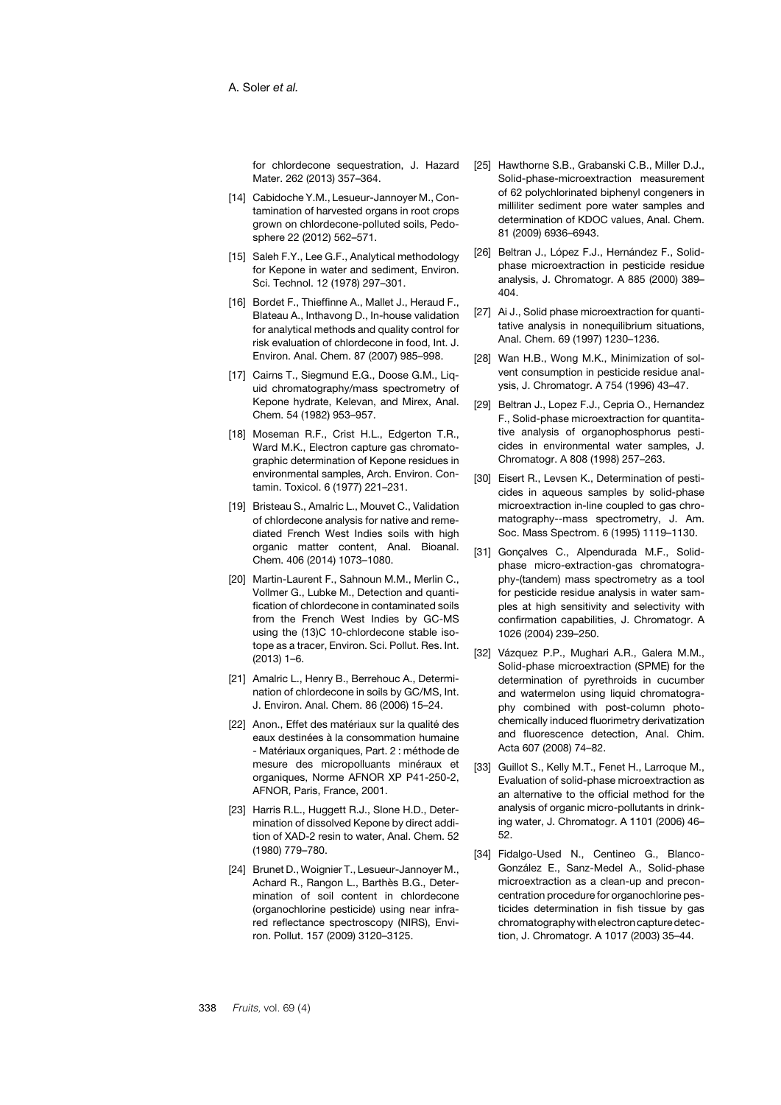for chlordecone sequestration, J. Hazard Mater. 262 (2013) 357–364.

- <span id="page-13-0"></span>[14] Cabidoche Y.M., Lesueur-Jannoyer M., Contamination of harvested organs in root crops grown on chlordecone-polluted soils, Pedosphere 22 (2012) 562–571.
- <span id="page-13-1"></span>[15] Saleh F.Y., Lee G.F., Analytical methodology for Kenone in water and sediment, Environ. Sci. Technol. 12 (1978) 297–301.
- [16] Bordet F., Thieffinne A., Mallet J., Heraud F., Blateau A., Inthavong D., In-house validation for analytical methods and quality control for risk evaluation of chlordecone in food, Int. J. Environ. Anal. Chem. 87 (2007) 985–998.
- <span id="page-13-2"></span>[17] Cairns T., Siegmund E.G., Doose G.M., Liquid chromatography/mass spectrometry of Kepone hydrate, Kelevan, and Mirex, Anal. Chem. 54 (1982) 953–957.
- <span id="page-13-3"></span>[18] Moseman R.F., Crist H.L., Edgerton T.R., Ward M.K., Electron capture gas chromatographic determination of Kepone residues in environmental samples, Arch. Environ. Contamin. Toxicol. 6 (1977) 221–231.
- <span id="page-13-4"></span>[19] Bristeau S., Amalric L., Mouvet C., Validation of chlordecone analysis for native and remediated French West Indies soils with high organic matter content, Anal. Bioanal. Chem. 406 (2014) 1073–1080.
- <span id="page-13-5"></span>[20] Martin-Laurent F., Sahnoun M.M., Merlin C., Vollmer G., Lubke M., Detection and quantification of chlordecone in contaminated soils from the French West Indies by GC-MS using the (13)C 10-chlordecone stable isotope as a tracer, Environ. Sci. Pollut. Res. Int. (2013) 1–6.
- <span id="page-13-6"></span>[21] Amalric L., Henry B., Berrehouc A., Determination of chlordecone in soils by GC/MS, Int. J. Environ. Anal. Chem. 86 (2006) 15–24.
- <span id="page-13-7"></span>[22] Anon., Effet des matériaux sur la qualité des eaux destinées à la consommation humaine - Matériaux organiques, Part. 2 : méthode de mesure des micropolluants minéraux et organiques, Norme AFNOR XP P41-250-2, AFNOR, Paris, France, 2001.
- <span id="page-13-8"></span>[23] Harris R.L., Huggett R.J., Slone H.D., Determination of dissolved Kepone by direct addition of XAD-2 resin to water, Anal. Chem. 52 (1980) 779–780.
- <span id="page-13-9"></span>[24] Brunet D., Woignier T., Lesueur-Jannoyer M., Achard R., Rangon L., Barthès B.G., Determination of soil content in chlordecone (organochlorine pesticide) using near infrared reflectance spectroscopy (NIRS), Environ. Pollut. 157 (2009) 3120–3125.
- <span id="page-13-10"></span>[25] Hawthorne S.B., Grabanski C.B., Miller D.J., Solid-phase-microextraction measurement of 62 polychlorinated biphenyl congeners in milliliter sediment pore water samples and determination of KDOC values, Anal. Chem. 81 (2009) 6936–6943.
- <span id="page-13-11"></span>[26] Beltran J., López F.J., Hernández F., Solidphase microextraction in pesticide residue analysis, J. Chromatogr. A 885 (2000) 389– 404.
- <span id="page-13-12"></span>[27] Ai J., Solid phase microextraction for quantitative analysis in nonequilibrium situations, Anal. Chem. 69 (1997) 1230–1236.
- <span id="page-13-13"></span>[28] Wan H.B., Wong M.K., Minimization of solvent consumption in pesticide residue analysis, J. Chromatogr. A 754 (1996) 43–47.
- <span id="page-13-14"></span>[29] Beltran J., Lopez F.J., Cepria O., Hernandez F., Solid-phase microextraction for quantitative analysis of organophosphorus pesticides in environmental water samples, J. Chromatogr. A 808 (1998) 257–263.
- [30] Eisert R., Levsen K., Determination of pesticides in aqueous samples by solid-phase microextraction in-line coupled to gas chromatography--mass spectrometry, J. Am. Soc. Mass Spectrom. 6 (1995) 1119–1130.
- <span id="page-13-15"></span>[31] Gonçalves C., Alpendurada M.F., Solidphase micro-extraction-gas chromatography-(tandem) mass spectrometry as a tool for pesticide residue analysis in water samples at high sensitivity and selectivity with confirmation capabilities, J. Chromatogr. A 1026 (2004) 239–250.
- <span id="page-13-16"></span>[32] Vázquez P.P., Mughari A.R., Galera M.M., Solid-phase microextraction (SPME) for the determination of pyrethroids in cucumber and watermelon using liquid chromatography combined with post-column photochemically induced fluorimetry derivatization and fluorescence detection, Anal. Chim. Acta 607 (2008) 74–82.
- <span id="page-13-17"></span>[33] Guillot S., Kelly M.T., Fenet H., Larroque M., Evaluation of solid-phase microextraction as an alternative to the official method for the analysis of organic micro-pollutants in drinking water, J. Chromatogr. A 1101 (2006) 46– 52.
- <span id="page-13-18"></span>[34] Fidalgo-Used N., Centineo G., Blanco-González E., Sanz-Medel A., Solid-phase microextraction as a clean-up and preconcentration procedure for organochlorine pesticides determination in fish tissue by gas chromatography with electron capture detection, J. Chromatogr. A 1017 (2003) 35–44.